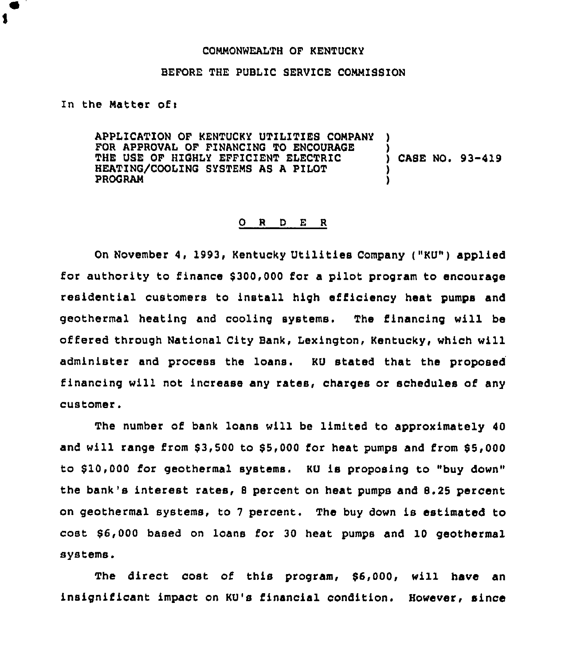## COMMONWEALTH OF KENTUCKY

## BEFORE THE PUBLIC SERVICE COMMISBION

## In the Matter of:

1

APPLICATION OF KENTUCKY UTILITIES COMPANY ) FOR APPROVAL OF FINANCING TO ENCOURAGE THE USE OF HIGHLY EFFICIENT ELECTRIC (ASE NO. 93-419 HEATING/COOLING SYSTEMS AS A PILOT<br>PROGRAM PROGRAM )

## 0 <sup>R</sup> <sup>O</sup> E <sup>R</sup>

On November 4, 1993, Kentucky Utilities Company ("KU") applied for authority to finance \$300,000 for a pilot program to encourage residential customers to install high efficiency heat pumps and geothermal heating and cooling systems. The financing will be offered through National City Bank, Lexington, Kentucky, which will administer and process the loans. KU stated that the proposed financing will not increase any rates, charges or schedules of any customer.

The number of bank loans will be limited to approximately 40 and will range from \$3,500 to \$5,000 for heat pumps and from \$5,000 to \$10,000 for geothermal systems. KU is proposing to "buy down" the bank's interest rates, <sup>8</sup> percent on heat pumps and 8.25 percent on geothermal systems, to <sup>7</sup> percent. The buy down is estimated to cost \$ 6,000 based on loans for 30 heat pumps and 10 geothermal systems.

The direct cost of this program, \$6,000, will have an insignificant impact on KU's financial condition. However, since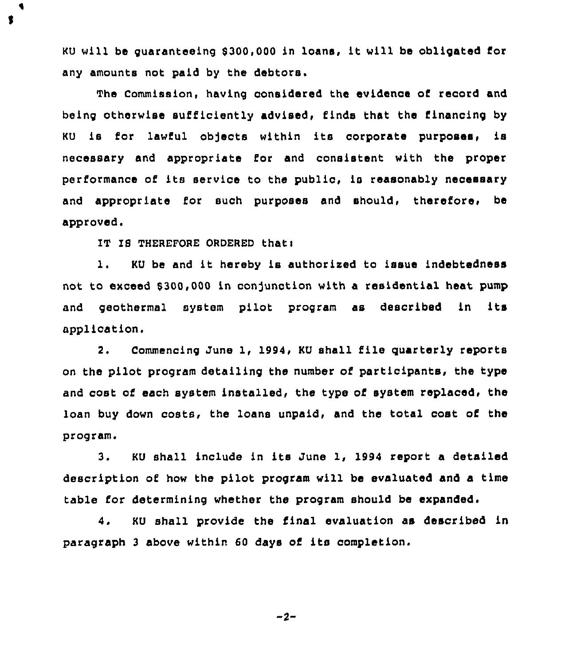KU will be guaranteeing \$ 300,000 in loans, it will be obligated for any amounts not paid by the debtors.

The Commission, having considered the evidence of record and being otherwise sufficiently advised, finds that the financing by KU is for lawful ob)ects within its corporate purposes, is necessary and appropriate for and consistent with the proper performance of its service to the public, is reasonably necessary and appropriate for such purposes and should, therefore, be approved.

IT IS THEREFORE ORDERED that:

t

i. KU be and it hereby is authorised to issue indebtedness not to exceed \$300,000 in conjunction with a residential heat pump and geothermal system pilot program as described in its application.

2. Commencing June 1, 1994, KU shall file quarterly reports on the pilot program detailing ths number of participants, the type and cost of each system installed, the type of system replaced, the loan buy down costs, the loans unpaid, and the total cost of the program.

3. KU shall include in its June 1, 1994 report <sup>a</sup> detailed description of how the pilot program will be evaluated and a time table for determining whether the program should be expanded.

4. KU shall provide the final evaluation as described in paragraph <sup>3</sup> above within <sup>60</sup> days of its completion.

$$
-2
$$